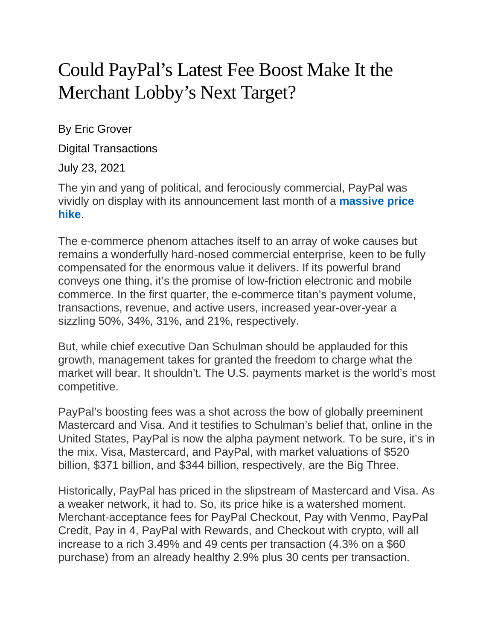## Could PayPal's Latest Fee Boost Make It the Merchant Lobby's Next Target?

By Eric Grover

Digital Transactions

July 23, 2021

The yin and yang of political, and ferociously commercial, PayPal was vividly on display with its announcement last month of a **[massive](https://www.digitaltransactions.net/paypal-sets-new-online-merchant-rates-as-e-commerce-booms/) price [hike](https://www.digitaltransactions.net/paypal-sets-new-online-merchant-rates-as-e-commerce-booms/)**.

The e-commerce phenom attaches itself to an array of woke causes but remains a wonderfully hard-nosed commercial enterprise, keen to be fully compensated for the enormous value it delivers. If its powerful brand conveys one thing, it's the promise of low-friction electronic and mobile commerce. In the first quarter, the e-commerce titan's payment volume, transactions, revenue, and active users, increased year-over-year a sizzling 50%, 34%, 31%, and 21%, respectively.

But, while chief executive Dan Schulman should be applauded for this growth, management takes for granted the freedom to charge what the market will bear. It shouldn't. The U.S. payments market is the world's most competitive.

PayPal's boosting fees was a shot across the bow of globally preeminent Mastercard and Visa. And it testifies to Schulman's belief that, online in the United States, PayPal is now the alpha payment network. To be sure, it's in the mix. Visa, Mastercard, and PayPal, with market valuations of \$520 billion, \$371 billion, and \$344 billion, respectively, are the Big Three.

Historically, PayPal has priced in the slipstream of Mastercard and Visa. As a weaker network, it had to. So, its price hike is a watershed moment. Merchant-acceptance fees for PayPal Checkout, Pay with Venmo, PayPal Credit, Pay in 4, PayPal with Rewards, and Checkout with crypto, will all increase to a rich 3.49% and 49 cents per transaction (4.3% on a \$60 purchase) from an already healthy 2.9% plus 30 cents per transaction.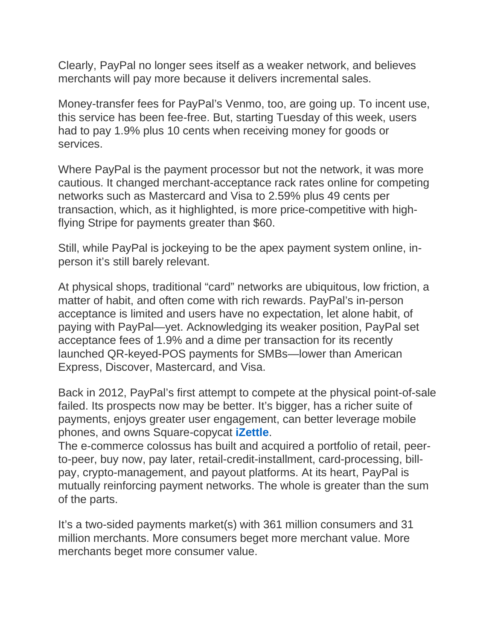Clearly, PayPal no longer sees itself as a weaker network, and believes merchants will pay more because it delivers incremental sales.

Money-transfer fees for PayPal's Venmo, too, are going up. To incent use, this service has been fee-free. But, starting Tuesday of this week, users had to pay 1.9% plus 10 cents when receiving money for goods or services.

Where PayPal is the payment processor but not the network, it was more cautious. It changed merchant-acceptance rack rates online for competing networks such as Mastercard and Visa to 2.59% plus 49 cents per transaction, which, as it highlighted, is more price-competitive with highflying Stripe for payments greater than \$60.

Still, while PayPal is jockeying to be the apex payment system online, inperson it's still barely relevant.

At physical shops, traditional "card" networks are ubiquitous, low friction, a matter of habit, and often come with rich rewards. PayPal's in-person acceptance is limited and users have no expectation, let alone habit, of paying with PayPal—yet. Acknowledging its weaker position, PayPal set acceptance fees of 1.9% and a dime per transaction for its recently launched QR-keyed-POS payments for SMBs—lower than American Express, Discover, Mastercard, and Visa.

Back in 2012, PayPal's first attempt to compete at the physical point-of-sale failed. Its prospects now may be better. It's bigger, has a richer suite of payments, enjoys greater user engagement, can better leverage mobile phones, and owns Square-copycat **[iZettle](https://www.digitaltransactions.net/paypals-u-s-pos-thrust-with-zettle-may-have-been-inevitable-but-it-faces-tough-rivalry/)**.

The e-commerce colossus has built and acquired a portfolio of retail, peerto-peer, buy now, pay later, retail-credit-installment, card-processing, billpay, crypto-management, and payout platforms. At its heart, PayPal is mutually reinforcing payment networks. The whole is greater than the sum of the parts.

It's a two-sided payments market(s) with 361 million consumers and 31 million merchants. More consumers beget more merchant value. More merchants beget more consumer value.